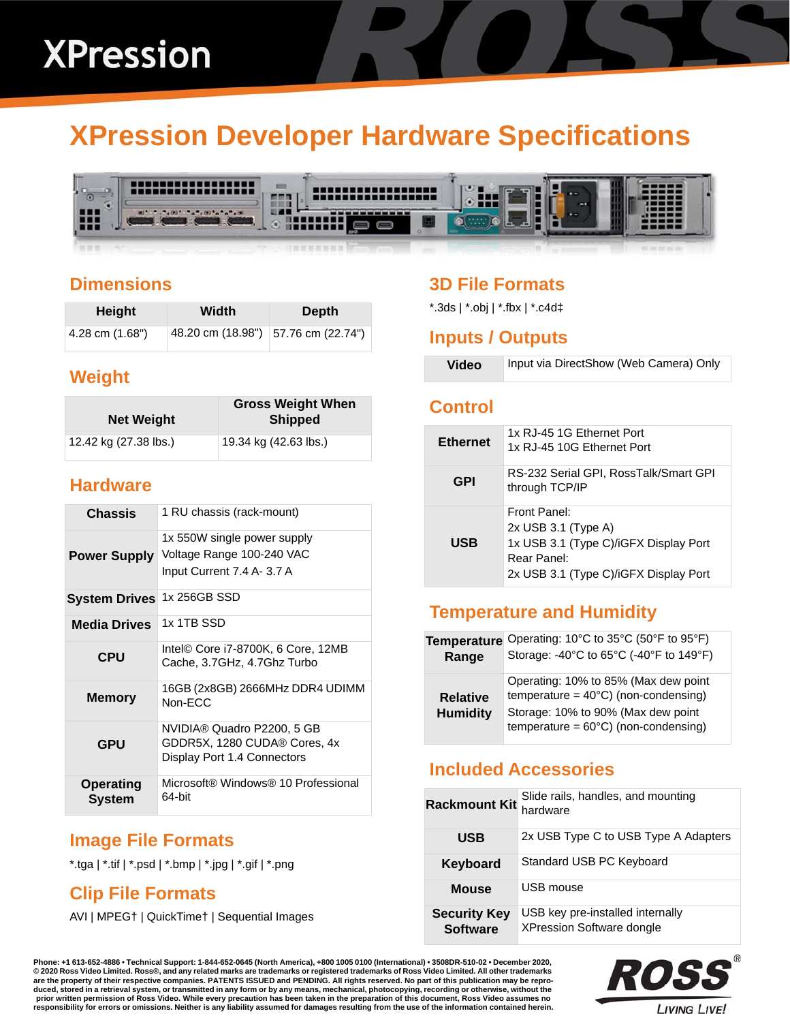# **XPression Developer Hardware Specifications**



## **Dimensions**

| Height          | Width | <b>Depth</b>                        |
|-----------------|-------|-------------------------------------|
| 4.28 cm (1.68") |       | 48.20 cm (18.98") 57.76 cm (22.74") |

# **Weight**

| <b>Net Weight</b>     | <b>Gross Weight When</b><br><b>Shipped</b> |
|-----------------------|--------------------------------------------|
| 12.42 kg (27.38 lbs.) | 19.34 kg (42.63 lbs.)                      |

## **Hardware**

| <b>Chassis</b>             | 1 RU chassis (rack-mount)                                                                 |
|----------------------------|-------------------------------------------------------------------------------------------|
| <b>Power Supply</b>        | 1x 550W single power supply<br>Voltage Range 100-240 VAC<br>Input Current 7.4 A- 3.7 A    |
| <b>System Drives</b>       | 1x 256GB SSD                                                                              |
| <b>Media Drives</b>        | 1x 1TB SSD                                                                                |
| CPU                        | Intel© Core i7-8700K, 6 Core, 12MB<br>Cache, 3.7GHz, 4.7Ghz Turbo                         |
| <b>Memory</b>              | 16GB (2x8GB) 2666MHz DDR4 UDIMM<br>Non-FCC                                                |
| <b>GPU</b>                 | NVIDIA® Quadro P2200, 5 GB<br>GDDR5X, 1280 CUDA® Cores, 4x<br>Display Port 1.4 Connectors |
| <b>Operating</b><br>System | Microsoft® Windows® 10 Professional<br>64-bit                                             |

# **Image File Formats**

\*.tga | \*.tif | \*.psd | \*.bmp | \*.jpg | \*.gif | \*.png

# **Clip File Formats**

AVI | MPEG† | QuickTime† | Sequential Images

# **3D File Formats**

\*.3ds | \*.obj | \*.fbx | \*.c4d‡

#### **Inputs / Outputs**

| <b>Video</b> | Input via DirectShow (Web Camera) Only |
|--------------|----------------------------------------|
|--------------|----------------------------------------|

#### **Control**

| <b>Ethernet</b> | 1x RJ-45 1G Ethernet Port<br>1x RJ-45 10G Ethernet Port                                                                                |
|-----------------|----------------------------------------------------------------------------------------------------------------------------------------|
| <b>GPI</b>      | RS-232 Serial GPI, RossTalk/Smart GPI<br>through TCP/IP                                                                                |
| USB             | Front Panel:<br>$2x$ USB 3.1 (Type A)<br>1x USB 3.1 (Type C)/iGFX Display Port<br>Rear Panel:<br>2x USB 3.1 (Type C)/iGFX Display Port |

# **Temperature and Humidity**

| <b>Temperature</b>                 | Operating: 10°C to 35°C (50°F to 95°F)                                                                                                                                         |
|------------------------------------|--------------------------------------------------------------------------------------------------------------------------------------------------------------------------------|
| Range                              | Storage: -40°C to 65°C (-40°F to 149°F)                                                                                                                                        |
| <b>Relative</b><br><b>Humidity</b> | Operating: 10% to 85% (Max dew point<br>temperature = $40^{\circ}$ C) (non-condensing)<br>Storage: 10% to 90% (Max dew point<br>temperature = $60^{\circ}$ C) (non-condensing) |

## **Included Accessories**

| <b>Rackmount Kit</b>                   | Slide rails, handles, and mounting<br>hardware                       |
|----------------------------------------|----------------------------------------------------------------------|
| <b>USB</b>                             | 2x USB Type C to USB Type A Adapters                                 |
| <b>Keyboard</b>                        | Standard USB PC Keyboard                                             |
| <b>Mouse</b>                           | USB mouse                                                            |
| <b>Security Key</b><br><b>Software</b> | USB key pre-installed internally<br><b>XPression Software dongle</b> |

**Phone: +1 613-652-4886 • Technical Support: 1-844-652-0645 (North America), +800 1005 0100 (International) • 3508DR-510-02 • December 2020, © 2020 Ross Video Limited. Ross®, and any related marks are trademarks or registered trademarks of Ross Video Limited. All other trademarks are the property of their respective companies. PATENTS ISSUED and PENDING. All rights reserved. No part of this publication may be repro**duced, stored in a retrieval system, or transmitted in any form or by any means, mechanical, photocopying, recording or otherwise, without the<br>prior written permission of Ross Video. While every precaution has been taken i